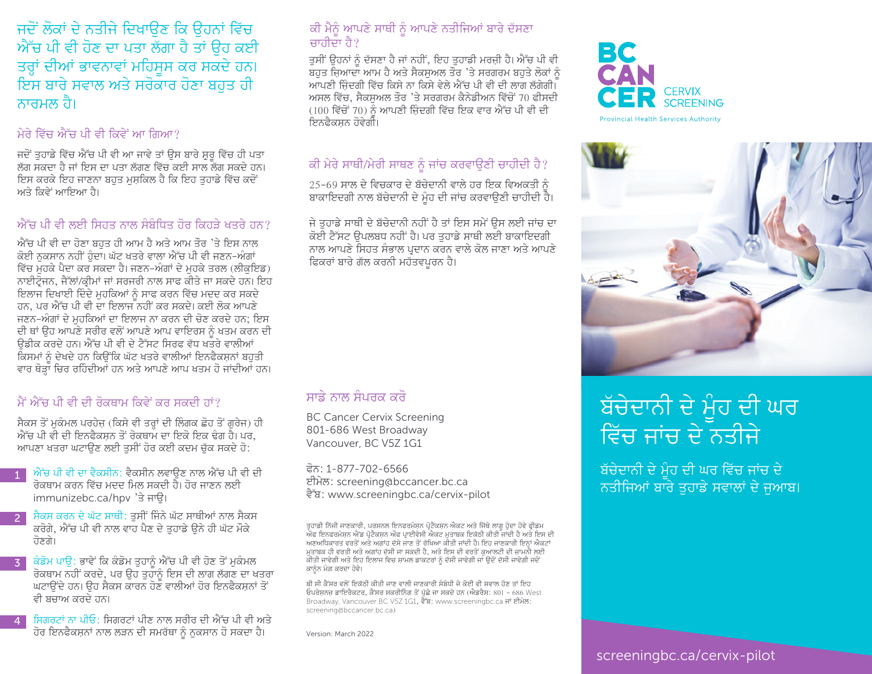#### ਜਦੋਂ ਲੋਕਾਂ ਦੇ ਨਤੀਜੇ ਦਿਖਾੳਣ ਕਿ ੳਹਨਾਂ ਵਿੱਚ ਐੱਚ ਪੀ ਵੀ ਹੋਣ ਦਾ ਪਤਾ ਲੱਗਾ ਹੈ ਤਾਂ ਉਹ ਕਈ ਤਰ੍ਹਾਂ ਦੀਆਂ ਭਾਵਨਾਵਾਂ ਮਹਿਸੂਸ ਕਰ ਸਕਦੇ ਹਨ। ਇਸ ਬਾਰੇ ਸਵਾਲ ਅਤੇ ਸਰੋਕਾਰ ਹੋਣਾ ਬਹਤ ਹੀ ਨਾਰਮਲ ਹੈ।

#### ਮੇਰੇ ਵਿੱਚ ਐੱਚ ਪੀ ਵੀ ਕਿਵੇਂ ਆ ਗਿਆ?

ਜਦੋਂ ਤੁਹਾਡੇ ਵਿੱਚ ਐੱਚ ਪੀ ਵੀ ਆ ਜਾਵੇ ਤਾਂ ਉਸ ਬਾਰੇ ਸ਼ੁਰੂ ਵਿੱਚ ਹੀ ਪਤਾ ਲੱਗ ਸਕਦਾ ਹੈ ਜਾਂ ਇਸ ਦਾ ਪਤਾ ਲੱਗਣ ਵਿੱਚ ਕਈ ਸਾਲ ਲੱਗ ਸਕਦੇ ਹਨ। ਇਸ ਕਰਕੇ ਇਹ ਜਾਣਨਾ ਬਹੁਤ ਮਸੂਕਿਲ ਹੈ ਕਿ ਇਹ ਤੁਹਾਡੇ ਵਿੱਚ ਕਦੋਂ ਅਤੇ ਕਿਵੇਂ ਆਇਆ ਹੈ।

#### ਐੱਚ ਪੀ ਵੀ ਲਈ ਸਿਹਤ ਨਾਲ ਸੰਬੰਧਿਤ ਹੋਰ ਕਿਹੜੇ ਖਤਰੇ ਹਨ?

ਐੱਚ ਪੀ ਵੀ ਦਾ ਹੋਣਾ ਬਹੁਤ ਹੀ ਆਮ ਹੈ ਅਤੇ ਆਮ ਤੌਰ 'ਤੇ ਇਸ ਨਾਲ ਕੋਈ ਨਕਸਾਨ ਨਹੀਂ ਹੋਦਾ। ਘੱਟ ਖਤਰੇ ਵਾਲਾ ਐੱਚ ਪੀ ਵੀ ਜਣਨ-ਅੰਗਾਂ ਵਿੱਚ ਮਹਕੇ ਪੈਦਾ ਕਰ ਸਕਦਾ ਹੈ। ਜਣਨ-ਅੰਗਾਂ ਦੇ ਮਹਕੇ ਤਰਲ (ਲੀਕਇਡ) ਨਾਈਟੋਜਨ, ਜੈੱਲਾਂ/ਕੀਮਾਂ ਜਾਂ ਸਰਜਰੀ ਨਾਲ ਸਾਫ ਕੀਤੇ ਜਾ ਸਕਦੇ ਹਨ। ਇਹ ਇਲਾਜ ਦਿਖਾਈ ਦਿੰਦੇ ਮੁਹਕਿਆਂ ਨੂੰ ਸਾਫ ਕਰਨ ਵਿੱਚ ਮਦਦ ਕਰ ਸਕਦੇ ਹਨ, ਪਰ ਐੱਚ ਪੀ ਵੀ ਦਾ ਇਲਾਜ ਨਹੀਂ ਕਰ ਸਕਦੇ। ਕਈ ਲੋਕ ਆਪਣੇ ਜਣਨ-ਅੰਗਾਂ ਦੇ ਮਹਕਿਆਂ ਦਾ ਇਲਾਜ ਨਾ ਕਰਨ ਦੀ ਚੋਣ ਕਰਦੇ ਹਨ; ਇਸ ਦੀ ਥਾਂ ਉਹ ਆਪਣੇ ਸਰੀਰ ਵਲੋਂ ਆਪਣੇ ਆਪ ਵਾਇਰਸ ਨੂੰ ਖਤਮ ਕਰਨ ਦੀ ਉਡੀਕ ਕਰਦੇ ਹਨ। ਐੱਚ ਪੀ ਵੀ ਦੇ ਟੈੱਸਟ ਸਿਰਫ ਵੱਧ ਖਤਰੇ ਵਾਲੀਆਂ ਕਿਸਮਾਂ ਨੂੰ ਦੇਖਦੇ ਹਨ ਕਿਉਂਕਿ ਘੱਟ ਖਤਰੇ ਵਾਲੀਆਂ ਇਨਫੈਕਸਨਾਂ ਬਹੁਤੀ ਵਾਰ ਥੋੜ੍ਹਾ ਚਿਰ ਰਹਿੰਦੀਆਂ ਹਨ ਅਤੇ ਆਪਣੇ ਆਪ ਖਤਮ ਹੋ ਜਾਂਦੀਆਂ ਹਨ।

#### ਮੈਂ ਐੱਚ ਪੀ ਵੀ ਦੀ ਰੋਕਥਾਮ ਕਿਵੇਂ ਕਰ ਸਕਦੀ ਹਾਂ?

ਸੈਕਸ ਤੋਂ ਮੁਕੰਮਲ ਪਰਹੇਜ਼ (ਕਿਸੇ ਵੀ ਤਰ੍ਹਾਂ ਦੀ ਲਿੰਗਕ ਛੋਹ ਤੋਂ ਗੁਰੇਜ) ਹੀ<br>ਐੱਚ ਪੀ ਵੀ ਦੀ ਇਨਫੈਕਸ਼ਨ ਤੋਂ ਰੋਕਥਾਮ ਦਾ ਇਕੋ ਇਕ ਢੰਗ ਹੈ। ਪਰ, ਆਪਣਾ ਖਤਰਾ ਘਟਾੳਣ ਲਈ ਤਸੀਂ ਹੋਰ ਕਈ ਕਦਮ ਚੱਕ ਸਕਦੇ ਹੋ:

- ਐੱਚ ਪੀ ਵੀ ਦਾ ਵੈਕਸੀਨ: ਵੈਕਸੀਨ ਲਵਾੳਣ ਨਾਲ ਐੱਚ ਪੀ ਵੀ ਦੀ  $1<sup>1</sup>$ ਰੋਕਥਾਮ ਕਰਨ ਵਿੱਚ ਮਦਦ ਮਿਲ ਸਕਦੀ ਹੈ। ਹੋਰ ਜਾਣਨ ਲਈ immunizebc.ca/hpv 'ਤੇ ਜਾਊ।
- ਸੈਕਸ ਕਰਨ ਦੇ ਘੱਟ ਸਾਥੀ: ਤਸੀਂ ਜਿੰਨੇ ਘੱਟ ਸਾਥੀਆਂ ਨਾਲ ਸੈਕਸ  $2<sup>1</sup>$ ਕਰੋਗੇ, ਐੱਚ ਪੀ ਵੀ ਨਾਲ ਵਾਹ ਪੈਣ ਦੇ ਤਹਾਡੇ ੳਨੇ ਹੀ ਘੱਟ ਮੌਕੇ ਹੋਣਗੇ।
- ਕੰਡੋਮ ਪਾਊ: ਭਾਵੇਂ ਕਿ ਕੰਡੋਮ ਤੁਹਾਨੂੰ ਐੱਚ ਪੀ ਵੀ ਹੋਣ ਤੋਂ ਮੁਕੰਮਲ  $3<sup>7</sup>$ ਰੋਕਥਾਮ ਨਹੀਂ ਕਰਦੇ, ਪਰ ਉਹ ਤੁਹਾਨੂੰ ਇਸ ਦੀ ਲਾਗ ਲੱਗਣ ਦਾ ਖਤਰਾ ਘਟਾਉਂਦੇ ਹਨ। ਉਹ ਸੈਕਸ ਕਾਰਨ ਹੋਣ ਵਾਲੀਆਂ ਹੋਰ ਇਨਫੈਕਸਨਾਂ ਤੋਂ ਵੀ ਸੰਚਾਅ ਕਰਦੇ ਹਨ।
- ਸਿਗਰਟਾਂ ਨਾ ਪੀਓ: ਸਿਗਰਟਾਂ ਪੀਣ ਨਾਲ ਸਰੀਰ ਦੀ ਐੱਚ ਪੀ ਵੀ ਅਤੇ  $\overline{4}$ ਹੋਰ ਇਨਫੈਕਸਨਾਂ ਨਾਲ ਲੜਨ ਦੀ ਸਮਰੱਥਾ ਨੂੰ ਨਕਸਾਨ ਹੋ ਸਕਦਾ ਹੈ।

#### ਕੀ ਮੈਨੂੰ ਆਪਣੇ ਸਾਥੀ ਨੂੰ ਆਪਣੇ ਨਤੀਜਿਆਂ ਬਾਰੇ ਦੱਸਣਾ ਜਾਰੀਦਾ ਹੈ?

ਤਸੀਂ ੳਹਨਾਂ ਨੰ ਦੱਸਣਾ ਹੈ ਜਾਂ ਨਹੀਂ, ਇਹ ਤਹਾਡੀ ਮਰਜ਼ੀ ਹੈ। ਐੱਚ ਪੀ ਵੀ ਬਹੁਤ ਜਿਆਦਾ ਆਮ ਹੈ ਅਤੇ ਸੈਕਸੁਅਲ ਤੌਰ 'ਤੇ ਸਰਗਰਮ ਬਹੁਤੇ ਲੋਕਾਂ ਨੂੰ ਆਪਣੀ ਜ਼ਿੰਦਗੀ ਵਿੱਚ ਕਿਸੇ ਨਾ ਕਿਸੇ ਵੇਲੇ ਐੱਚ ਪੀ ਵੀ ਦੀ ਲਾਗ ਲੱਗੇਗੀ। ਅਸਲ ਵਿੱਚ. ਸੈਕਸਅਲ ਤੌਰ 'ਤੇ ਸਰਗਰਮ ਕੈਨੇਡੀਅਨ ਵਿੱਚੋਂ 70 ਫੀਸਦੀ  $(100$  ਵਿੱਚੋਂ 70) ਨੌ ਆਪਣੀ ਜ਼ਿੰਦਗੀ ਵਿੱਚ ਇਕ ਵਾਰ ਐੱਚ ਪੀ ਵੀ ਦੀ ਇਨਫੈਕਸਨ ਹੋਵੇਗੀ।

#### ਕੀ ਮੇਰੇ ਸਾਥੀ/ਮੇਰੀ ਸਾਥਣ ਨੂੰ ਜਾਂਚ ਕਰਵਾਉਣੀ ਚਾਹੀਦੀ ਹੈ?

 $25$ –69 ਸਾਲ ਦੇ ਵਿਚਕਾਰ ਦੇ ਬੱਚੇਦਾਨੀ ਵਾਲੇ ਹਰ ਇਕ ਵਿਅਕਤੀ ਨੂੰ ਬਾਕਾਇਦਗੀ ਨਾਲ ਬੱਚੇਦਾਨੀ ਦੇ ਮੂੰਹ ਦੀ ਜਾਂਚ ਕਰਵਾਉਣੀ ਚਾਹੀਦੀ ਹੈ।

ਜੇ ਤਹਾਡੇ ਸਾਥੀ ਦੇ ਬੱਚੇਦਾਨੀ ਨਹੀਂ ਹੈ ਤਾਂ ਇਸ ਸਮੇਂ ਉਸ ਲਈ ਜਾਂਚ ਦਾ ਕੋਈ ਟੈੱਸਟ ੳਪਲਬਧ ਨਹੀਂ ਹੈ। ਪਰ ਤਹਾਡੇ ਸਾਥੀ ਲਈ ਬਾਕਾਇਦਗੀ ਨਾਲ ਆਪਣੇ ਸਿਹਤ ਸੰਭਾਲ ਪਦਾਨ ਕਰਨ ਵਾਲੇ ਕੋਲ ਜਾਣਾ ਅਤੇ ਆਪਣੇ ਫਿਕਰਾਂ ਬਾਰੇ ਗੱਲ ਕਰਨੀ ਮਹੱਤਵਪਰਨ ਹੈ।

#### ਸਾਡੇ ਨਾਲ ਸੰਪਰਕ ਕਰੋ

**BC Cancer Cervix Screening** 801-686 West Broadway Vancouver, BC V5Z 1G1

ਫੋਨ: 1-877-702-6566 ਈਮੇਲ: screening@bccancer.bc.ca ਵੈੱਬ: www.screeningbc.ca/cervix-pilot

ਤੁਹਾਡੀ ਨਿੱਜੀ ਜਾਣਕਾਰੀ, ਪਰਸਨਲ ਇਨਫਰਮੇਸ਼ਨ ਪ੍ਰੋਟੈਕਸ਼ਨ ਐਕਟ ਅਤੇ ਜਿੱਥੇ ਲਾਗੂ ਹੁੰਦਾ ਹੋਵੇ ਫ੍ਰੀਡਮ<br>ਔਫ ਇਨਫਰਮੇਸ਼ਨ ਐਂਡ ਪ੍ਰੋਟੈਕਸ਼ਨ ਔਫ ਪ੍ਰਾਈਵੇਸੀ ਐਕਟ ਮੁਤਾਬਕ ਇਕੱਠੀ ਕੀਤੀ ਜਾਂਦੀ ਹੈ ਅਤੇ ਇਸ ਦੀ<br>ਅਣਅਧਿਕਾਰਤ ਵਰਤੋਂ ਅਤੇ ਅਗਾਂਹ ਦੱਸੇ ਜਾਣ ਤੋਂ ਰੱਖਿਆ ਕੀਤੀ ਜਾ ਮੁਤਾਬਕ ਹੀ ਵਰਤੀ ਅਤੇ ਅਗਾਂਹ ਦੱਸੀ ਜਾ ਸਕਦੀ ਹੈ, ਅਤੇ ਇਸ ਦੀ ਵਰਤੋਂ ਕੁਆਲਟੀ ਦੀ ਜ਼ਾਮਨੀ ਲਈ ਕੀਤੀ ਜਾਵੇਗੀ ਅਤੇ ਇਹ ਇਲਾਜ ਵਿਚ ਸ਼ਾਮਲ ਡਾਕਟਰਾਂ ਨੂੰ ਦੱਸੀ ਜਾਵੇਗੀ ਜਾਂ ਉਦੋਂ ਦੱਸੀ ਜਾਵੇਗੀ ਜਦੋਂ ਕਾਨੂੰਨ ਮੰਗ ਕਰਦਾ ਹੋਵੇ।

ਬੀ ਸੀ ਕੈਂਸਰ ਵਲੋਂ ਇਕੱਠੀ ਕੀਤੀ ਜਾਣ ਵਾਲੀ ਜਾਣਕਾਰੀ ਸੰਬੰਧੀ ਜੇ ਕੋਈ ਵੀ ਸਵਾਲ ਹੋਣ ਤਾਂ ਇਹ ਓਪਰੇਸ਼ਨਜ਼ ਡਾਇਰੈਕਟਰ, ਕੈਂਸਰ ਸਕਰੀਨਿੰਗ ਤੋਂ ਪੱਛੇ ਜਾ ਸਕਦੇ ਹਨ (ਐਡਰੈਸ: 801 – 686 West Broadway, Vancouver BC V5Z 1G1, ਵੈੱਬ: www.screeningbc.ca ਜਾਂ ਈਮੇਲ: screening@bccancer.bc.ca)

Version: March 2022





# ਬੱਚੇਦਾਨੀ ਦੇ ਮੌਹ ਦੀ ਘਰ ਵਿੱਚ ਜਾਂਚ ਦੇ ਨਤੀਜੇ

ਬੱਚੇਦਾਨੀ ਦੇ ਮੂੰਹ ਦੀ ਘਰ ਵਿੱਚ ਜਾਂਚ ਦੇ ਨਤੀਜਿਆਂ ਬਾਰ<u>ੇ ਤਹਾਡੇ ਸਵਾਲਾਂ ਦੇ ਜੁਆਬ।</u>